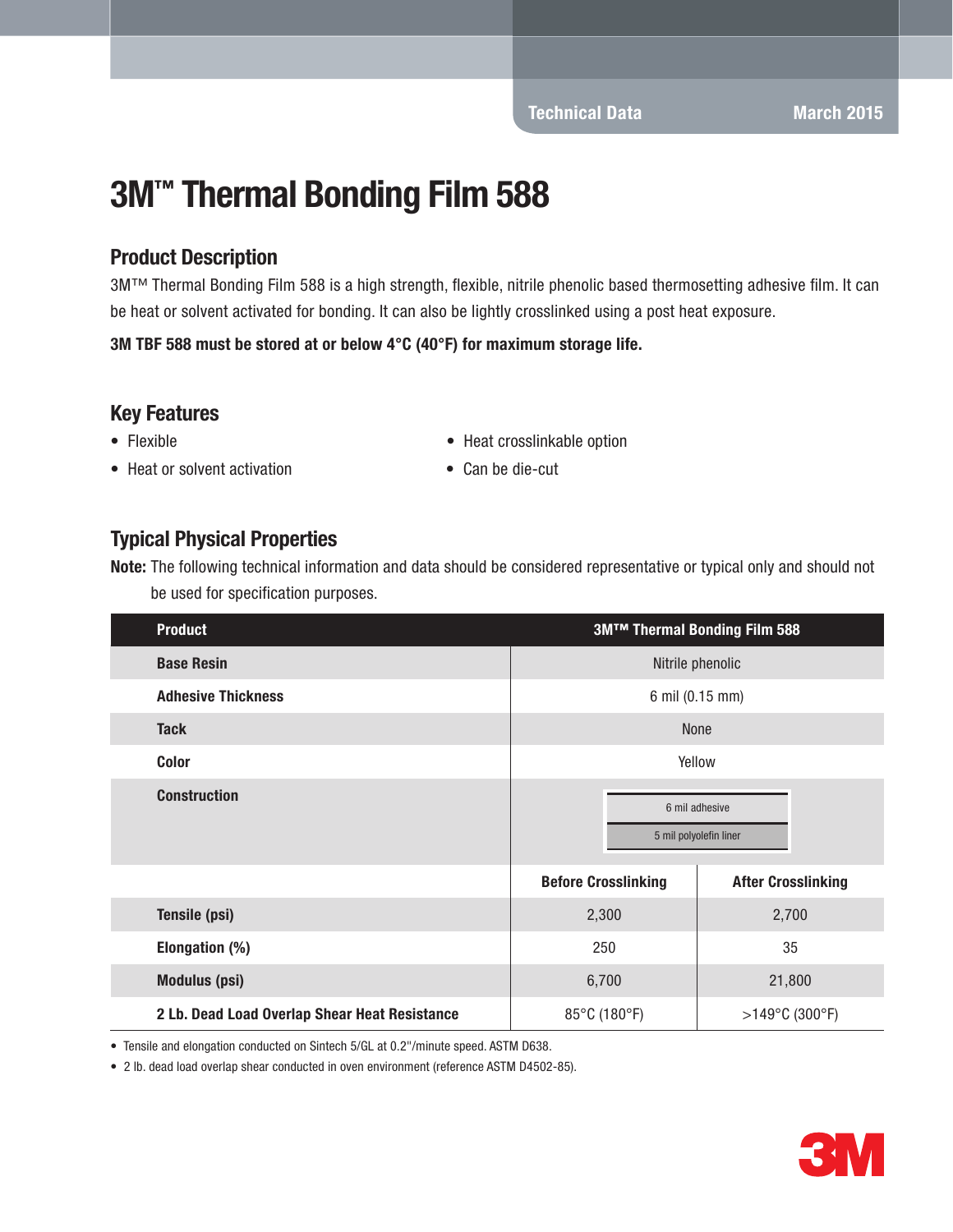Technical Data March 2015

# 3M™ Thermal Bonding Film 588

## Product Description

3M™ Thermal Bonding Film 588 is a high strength, flexible, nitrile phenolic based thermosetting adhesive film. It can be heat or solvent activated for bonding. It can also be lightly crosslinked using a post heat exposure.

3M TBF 588 must be stored at or below 4°C (40°F) for maximum storage life.

## Key Features

- 
- Heat or solvent activation Can be die-cut
- Flexible Heat crosslinkable option
	-

### Typical Physical Properties

Note: The following technical information and data should be considered representative or typical only and should not

be used for specification purposes.

| <b>Product</b>                                | 3M™ Thermal Bonding Film 588             |                           |  |
|-----------------------------------------------|------------------------------------------|---------------------------|--|
| <b>Base Resin</b>                             | Nitrile phenolic                         |                           |  |
| <b>Adhesive Thickness</b>                     | 6 mil (0.15 mm)                          |                           |  |
| <b>Tack</b>                                   | None                                     |                           |  |
| <b>Color</b>                                  | Yellow                                   |                           |  |
| <b>Construction</b>                           | 6 mil adhesive<br>5 mil polyolefin liner |                           |  |
|                                               | <b>Before Crosslinking</b>               | <b>After Crosslinking</b> |  |
| Tensile (psi)                                 | 2,300                                    | 2,700                     |  |
| Elongation (%)                                | 250                                      | 35                        |  |
| <b>Modulus (psi)</b>                          | 6,700                                    | 21,800                    |  |
| 2 Lb. Dead Load Overlap Shear Heat Resistance | 85°C (180°F)<br>$>149^{\circ}$ C (300°F) |                           |  |

• Tensile and elongation conducted on Sintech 5/GL at 0.2"/minute speed. ASTM D638.

• 2 lb. dead load overlap shear conducted in oven environment (reference ASTM D4502-85).

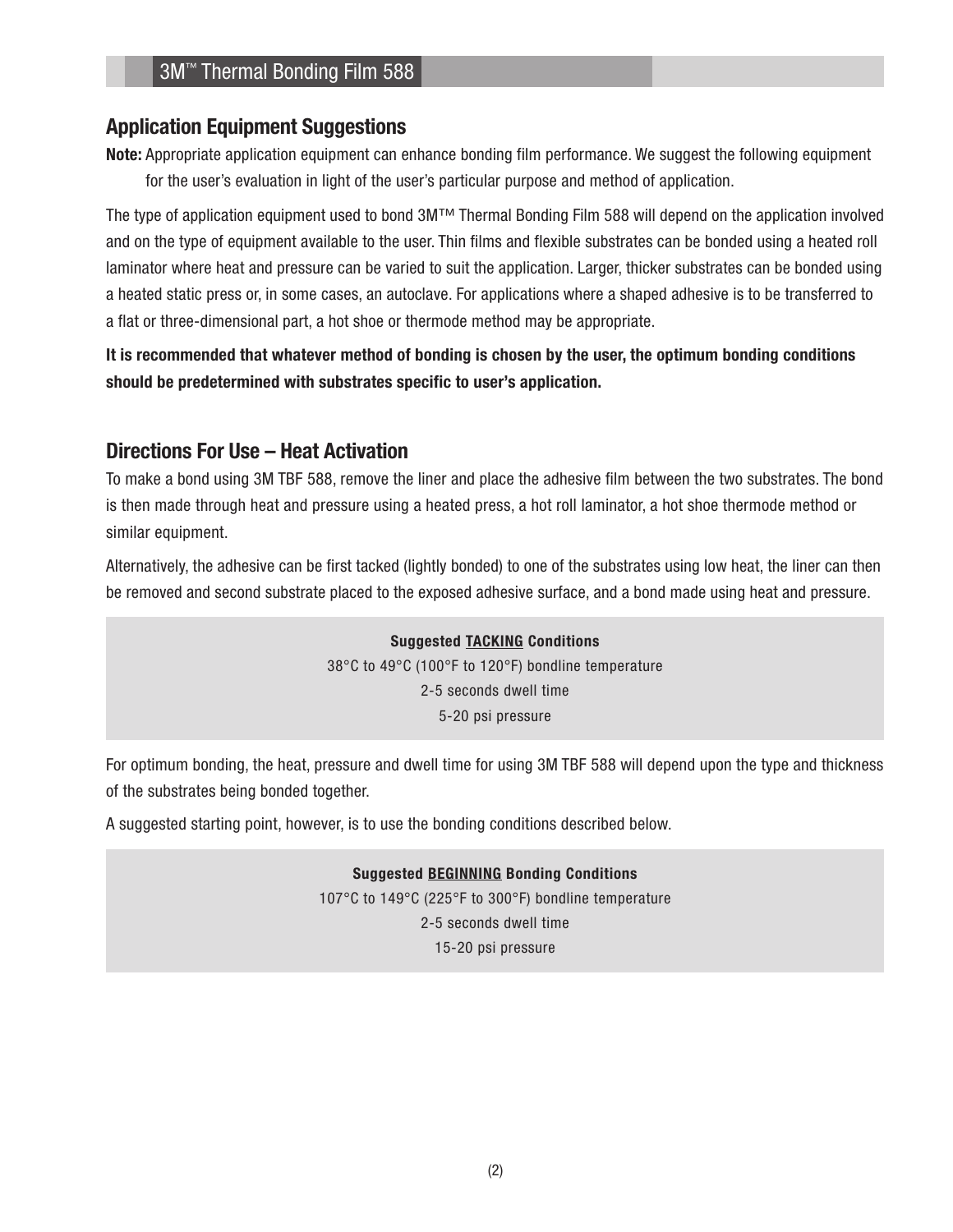## Application Equipment Suggestions

Note: Appropriate application equipment can enhance bonding film performance. We suggest the following equipment for the user's evaluation in light of the user's particular purpose and method of application.

The type of application equipment used to bond 3M™ Thermal Bonding Film 588 will depend on the application involved and on the type of equipment available to the user. Thin films and flexible substrates can be bonded using a heated roll laminator where heat and pressure can be varied to suit the application. Larger, thicker substrates can be bonded using a heated static press or, in some cases, an autoclave. For applications where a shaped adhesive is to be transferred to a flat or three-dimensional part, a hot shoe or thermode method may be appropriate.

It is recommended that whatever method of bonding is chosen by the user, the optimum bonding conditions should be predetermined with substrates specific to user's application.

## Directions For Use – Heat Activation

To make a bond using 3M TBF 588, remove the liner and place the adhesive film between the two substrates. The bond is then made through heat and pressure using a heated press, a hot roll laminator, a hot shoe thermode method or similar equipment.

Alternatively, the adhesive can be first tacked (lightly bonded) to one of the substrates using low heat, the liner can then be removed and second substrate placed to the exposed adhesive surface, and a bond made using heat and pressure.

> Suggested TACKING Conditions 38°C to 49°C (100°F to 120°F) bondline temperature 2-5 seconds dwell time 5-20 psi pressure

For optimum bonding, the heat, pressure and dwell time for using 3M TBF 588 will depend upon the type and thickness of the substrates being bonded together.

A suggested starting point, however, is to use the bonding conditions described below.

Suggested BEGINNING Bonding Conditions 107°C to 149°C (225°F to 300°F) bondline temperature 2-5 seconds dwell time 15-20 psi pressure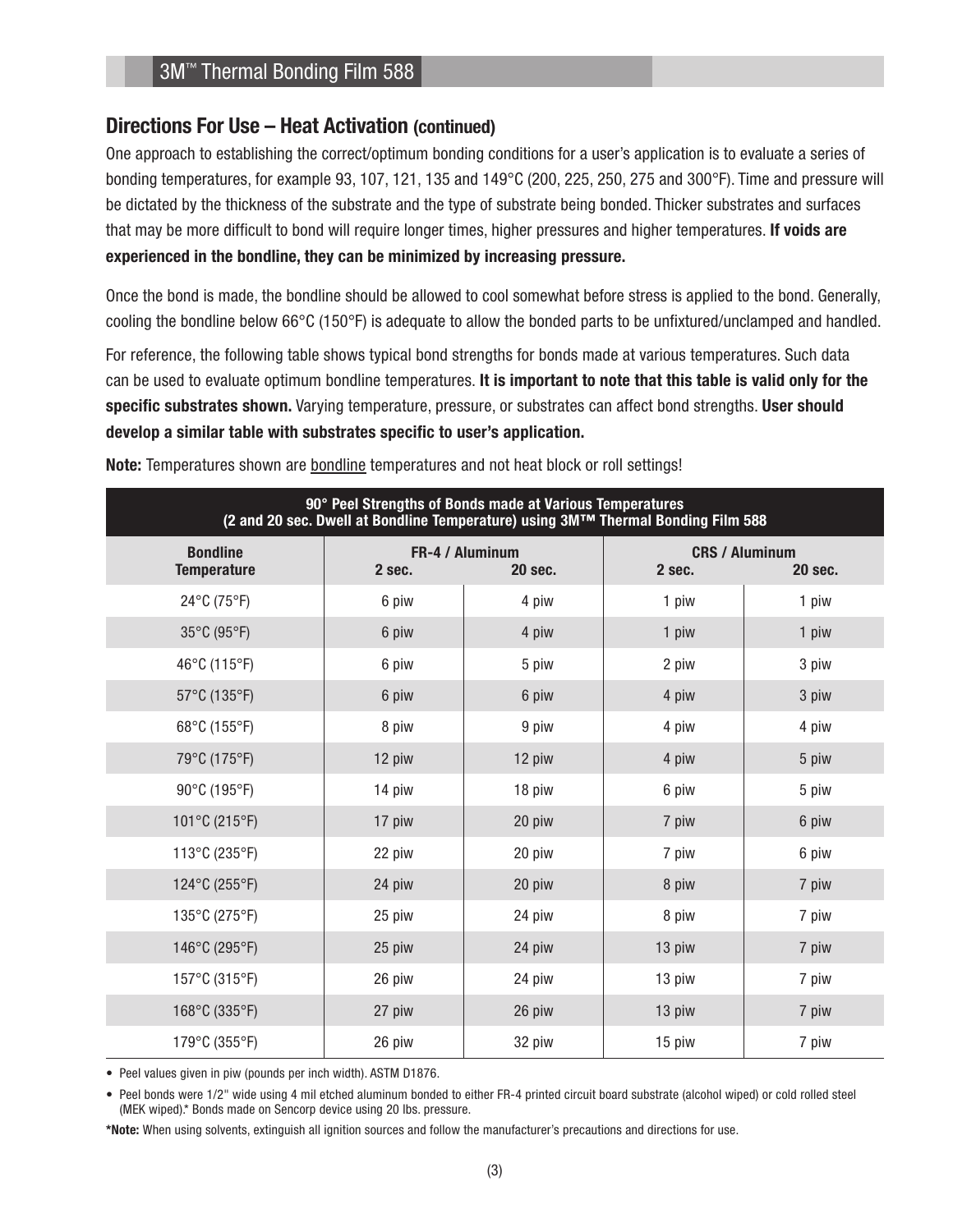#### Directions For Use – Heat Activation (continued)

One approach to establishing the correct/optimum bonding conditions for a user's application is to evaluate a series of bonding temperatures, for example 93, 107, 121, 135 and 149°C (200, 225, 250, 275 and 300°F). Time and pressure will be dictated by the thickness of the substrate and the type of substrate being bonded. Thicker substrates and surfaces that may be more difficult to bond will require longer times, higher pressures and higher temperatures. If voids are experienced in the bondline, they can be minimized by increasing pressure.

Once the bond is made, the bondline should be allowed to cool somewhat before stress is applied to the bond. Generally, cooling the bondline below 66°C (150°F) is adequate to allow the bonded parts to be unfixtured/unclamped and handled.

For reference, the following table shows typical bond strengths for bonds made at various temperatures. Such data can be used to evaluate optimum bondline temperatures. It is important to note that this table is valid only for the specific substrates shown. Varying temperature, pressure, or substrates can affect bond strengths. User should develop a similar table with substrates specific to user's application.

| 90° Peel Strengths of Bonds made at Various Temperatures<br>(2 and 20 sec. Dwell at Bondline Temperature) using 3M™ Thermal Bonding Film 588 |                                             |        |                                            |       |
|----------------------------------------------------------------------------------------------------------------------------------------------|---------------------------------------------|--------|--------------------------------------------|-------|
| <b>Bondline</b><br><b>Temperature</b>                                                                                                        | FR-4 / Aluminum<br><b>20 sec.</b><br>2 sec. |        | <b>CRS / Aluminum</b><br>2 sec.<br>20 sec. |       |
| 24°C (75°F)                                                                                                                                  | 6 piw                                       | 4 piw  | 1 piw                                      | 1 piw |
| 35°C (95°F)                                                                                                                                  | 6 piw                                       | 4 piw  | 1 piw                                      | 1 piw |
| 46°C (115°F)                                                                                                                                 | 6 piw                                       | 5 piw  | 2 piw                                      | 3 piw |
| 57°C (135°F)                                                                                                                                 | 6 piw                                       | 6 piw  | 4 piw                                      | 3 piw |
| 68°C (155°F)                                                                                                                                 | 8 piw                                       | 9 piw  | 4 piw                                      | 4 piw |
| 79°C (175°F)                                                                                                                                 | 12 piw                                      | 12 piw | 4 piw                                      | 5 piw |
| 90°C (195°F)                                                                                                                                 | 14 piw                                      | 18 piw | 6 piw                                      | 5 piw |
| 101°C (215°F)                                                                                                                                | 17 piw                                      | 20 piw | 7 piw                                      | 6 piw |
| 113°C (235°F)                                                                                                                                | 22 piw                                      | 20 piw | 7 piw                                      | 6 piw |
| 124°C (255°F)                                                                                                                                | 24 piw                                      | 20 piw | 8 piw                                      | 7 piw |
| 135°C (275°F)                                                                                                                                | 25 piw                                      | 24 piw | 8 piw                                      | 7 piw |
| 146°C (295°F)                                                                                                                                | 25 piw                                      | 24 piw | 13 piw                                     | 7 piw |
| 157°C (315°F)                                                                                                                                | 26 piw                                      | 24 piw | 13 piw                                     | 7 piw |
| 168°C (335°F)                                                                                                                                | 27 piw                                      | 26 piw | 13 piw                                     | 7 piw |
| 179°C (355°F)                                                                                                                                | 26 piw                                      | 32 piw | 15 piw                                     | 7 piw |

Note: Temperatures shown are bondline temperatures and not heat block or roll settings!

• Peel values given in piw (pounds per inch width). ASTM D1876.

• Peel bonds were 1/2" wide using 4 mil etched aluminum bonded to either FR-4 printed circuit board substrate (alcohol wiped) or cold rolled steel (MEK wiped).\* Bonds made on Sencorp device using 20 lbs. pressure.

\*Note: When using solvents, extinguish all ignition sources and follow the manufacturer's precautions and directions for use.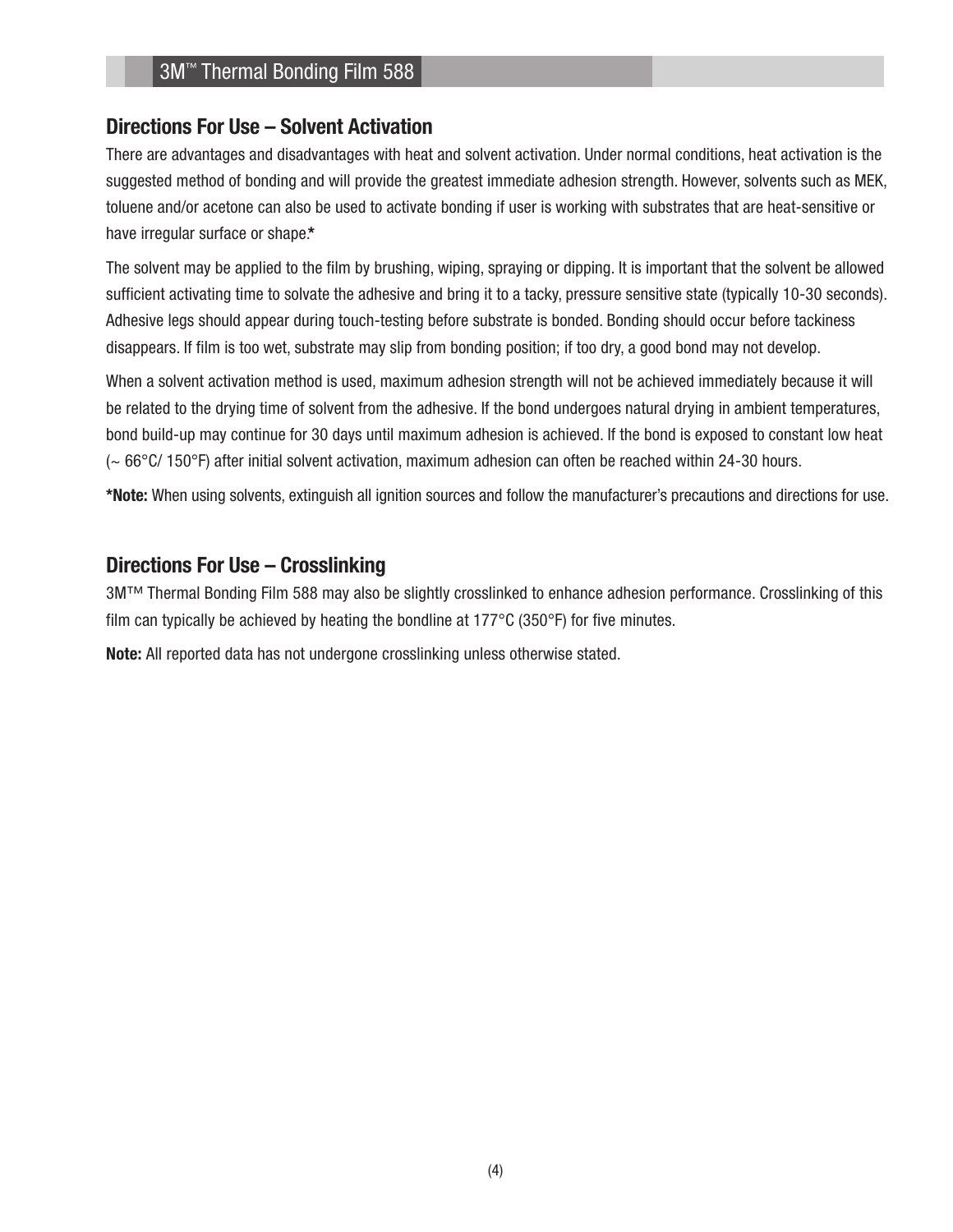## Directions For Use – Solvent Activation

There are advantages and disadvantages with heat and solvent activation. Under normal conditions, heat activation is the suggested method of bonding and will provide the greatest immediate adhesion strength. However, solvents such as MEK, toluene and/or acetone can also be used to activate bonding if user is working with substrates that are heat-sensitive or have irregular surface or shape.\*

The solvent may be applied to the film by brushing, wiping, spraying or dipping. It is important that the solvent be allowed sufficient activating time to solvate the adhesive and bring it to a tacky, pressure sensitive state (typically 10-30 seconds). Adhesive legs should appear during touch-testing before substrate is bonded. Bonding should occur before tackiness disappears. If film is too wet, substrate may slip from bonding position; if too dry, a good bond may not develop.

When a solvent activation method is used, maximum adhesion strength will not be achieved immediately because it will be related to the drying time of solvent from the adhesive. If the bond undergoes natural drying in ambient temperatures, bond build-up may continue for 30 days until maximum adhesion is achieved. If the bond is exposed to constant low heat (~ 66°C/ 150°F) after initial solvent activation, maximum adhesion can often be reached within 24-30 hours.

\*Note: When using solvents, extinguish all ignition sources and follow the manufacturer's precautions and directions for use.

### Directions For Use – Crosslinking

3M™ Thermal Bonding Film 588 may also be slightly crosslinked to enhance adhesion performance. Crosslinking of this film can typically be achieved by heating the bondline at  $177^{\circ}$ C (350°F) for five minutes.

Note: All reported data has not undergone crosslinking unless otherwise stated.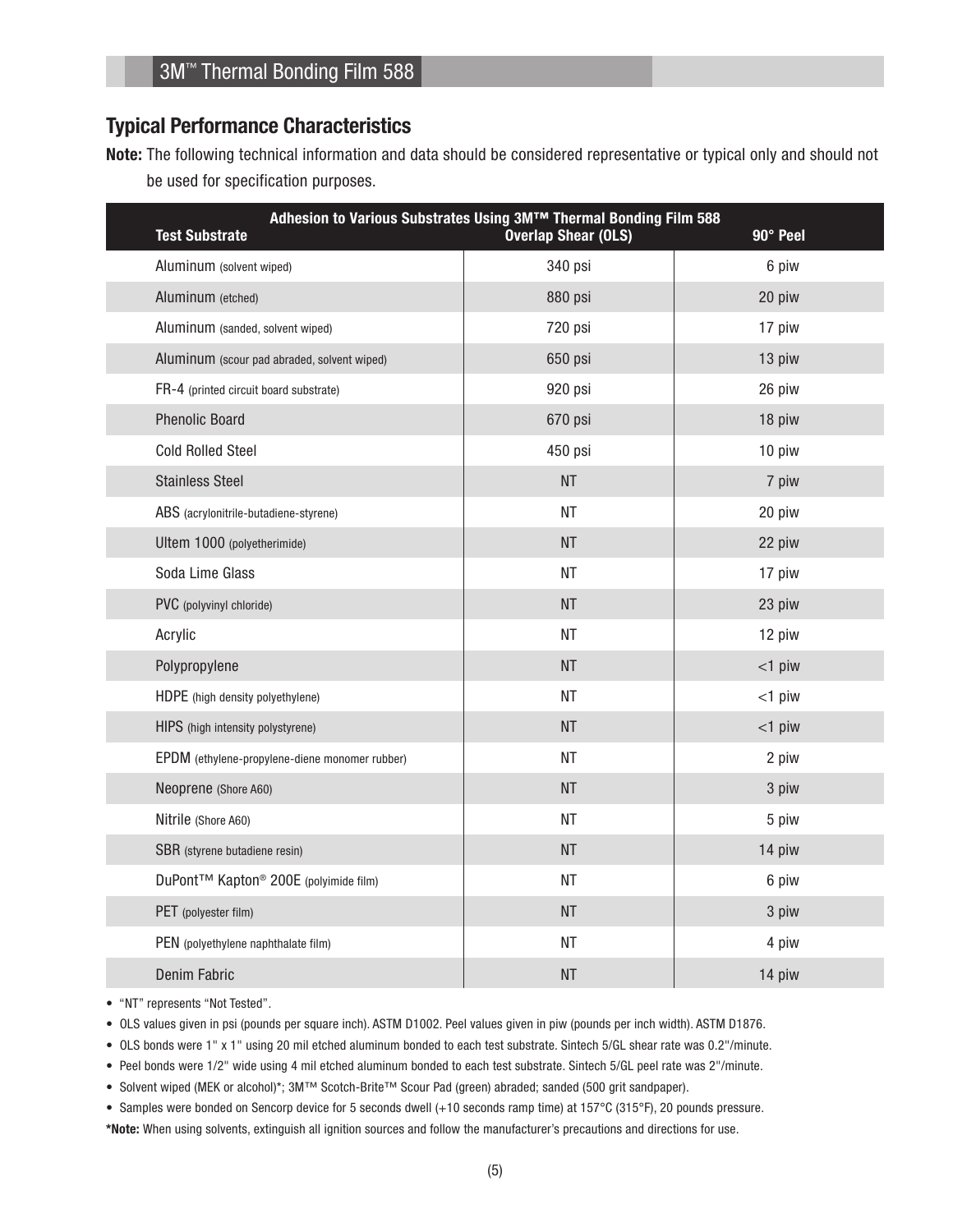## Typical Performance Characteristics

Note: The following technical information and data should be considered representative or typical only and should not be used for specification purposes.

| Adhesion to Various Substrates Using 3M™ Thermal Bonding Film 588<br><b>Test Substrate</b><br><b>Overlap Shear (OLS)</b><br>90° Peel |           |           |  |
|--------------------------------------------------------------------------------------------------------------------------------------|-----------|-----------|--|
| Aluminum (solvent wiped)                                                                                                             | 340 psi   | 6 piw     |  |
| Aluminum (etched)                                                                                                                    | 880 psi   | 20 piw    |  |
| Aluminum (sanded, solvent wiped)                                                                                                     | 720 psi   | 17 piw    |  |
| Aluminum (scour pad abraded, solvent wiped)                                                                                          | 650 psi   | 13 piw    |  |
| FR-4 (printed circuit board substrate)                                                                                               | 920 psi   | 26 piw    |  |
| <b>Phenolic Board</b>                                                                                                                | 670 psi   | 18 piw    |  |
| <b>Cold Rolled Steel</b>                                                                                                             | 450 psi   | 10 piw    |  |
| <b>Stainless Steel</b>                                                                                                               | <b>NT</b> | 7 piw     |  |
| ABS (acrylonitrile-butadiene-styrene)                                                                                                | <b>NT</b> | 20 piw    |  |
| Ultem 1000 (polyetherimide)                                                                                                          | <b>NT</b> | 22 piw    |  |
| Soda Lime Glass                                                                                                                      | <b>NT</b> | 17 piw    |  |
| PVC (polyvinyl chloride)                                                                                                             | <b>NT</b> | 23 piw    |  |
| Acrylic                                                                                                                              | NT        | 12 piw    |  |
| Polypropylene                                                                                                                        | <b>NT</b> | $<$ 1 piw |  |
| HDPE (high density polyethylene)                                                                                                     | <b>NT</b> | $<$ 1 piw |  |
| HIPS (high intensity polystyrene)                                                                                                    | <b>NT</b> | $<$ 1 piw |  |
| EPDM (ethylene-propylene-diene monomer rubber)                                                                                       | <b>NT</b> | 2 piw     |  |
| Neoprene (Shore A60)                                                                                                                 | <b>NT</b> | 3 piw     |  |
| Nitrile (Shore A60)                                                                                                                  | <b>NT</b> | 5 piw     |  |
| SBR (styrene butadiene resin)                                                                                                        | <b>NT</b> | 14 piw    |  |
| DuPont™ Kapton® 200E (polyimide film)                                                                                                | <b>NT</b> | 6 piw     |  |
| PET (polyester film)                                                                                                                 | <b>NT</b> | 3 piw     |  |
| PEN (polyethylene naphthalate film)                                                                                                  | <b>NT</b> | 4 piw     |  |
| Denim Fabric                                                                                                                         | <b>NT</b> | 14 piw    |  |

• "NT" represents "Not Tested".

• OLS values given in psi (pounds per square inch). ASTM D1002. Peel values given in piw (pounds per inch width). ASTM D1876.

• OLS bonds were 1" x 1" using 20 mil etched aluminum bonded to each test substrate. Sintech 5/GL shear rate was 0.2"/minute.

• Peel bonds were 1/2" wide using 4 mil etched aluminum bonded to each test substrate. Sintech 5/GL peel rate was 2"/minute.

• Solvent wiped (MEK or alcohol)\*; 3M™ Scotch-Brite™ Scour Pad (green) abraded; sanded (500 grit sandpaper).

• Samples were bonded on Sencorp device for 5 seconds dwell (+10 seconds ramp time) at 157°C (315°F), 20 pounds pressure. \*Note: When using solvents, extinguish all ignition sources and follow the manufacturer's precautions and directions for use.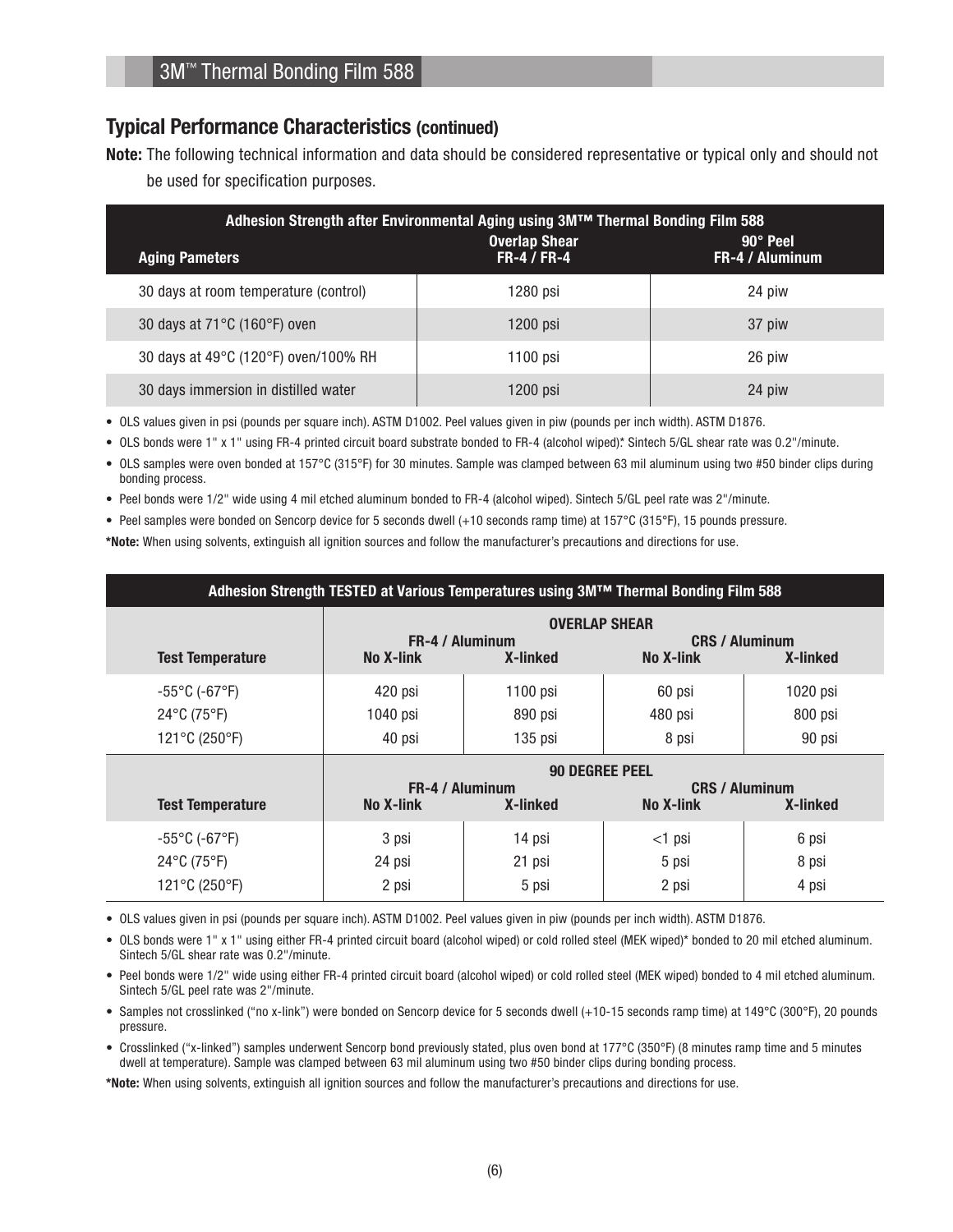## Typical Performance Characteristics (continued)

Note: The following technical information and data should be considered representative or typical only and should not be used for specification purposes.

| Adhesion Strength after Environmental Aging using 3M™ Thermal Bonding Film 588<br><b>Overlap Shear</b><br>$90^\circ$ Peel |                    |                 |  |  |
|---------------------------------------------------------------------------------------------------------------------------|--------------------|-----------------|--|--|
| <b>Aging Pameters</b>                                                                                                     | <b>FR-4 / FR-4</b> | FR-4 / Aluminum |  |  |
| 30 days at room temperature (control)                                                                                     | 1280 psi           | 24 piw          |  |  |
| 30 days at $71^{\circ}$ C (160 $^{\circ}$ F) oven                                                                         | $1200$ psi         | 37 piw          |  |  |
| 30 days at 49°C (120°F) oven/100% RH                                                                                      | $1100$ psi         | 26 piw          |  |  |
| 30 days immersion in distilled water                                                                                      | 1200 psi           | 24 piw          |  |  |

• OLS values given in psi (pounds per square inch). ASTM D1002. Peel values given in piw (pounds per inch width). ASTM D1876.

• OLS bonds were 1" x 1" using FR-4 printed circuit board substrate bonded to FR-4 (alcohol wiped).\* Sintech 5/GL shear rate was 0.2"/minute.

• OLS samples were oven bonded at 157°C (315°F) for 30 minutes. Sample was clamped between 63 mil aluminum using two #50 binder clips during bonding process.

• Peel bonds were 1/2" wide using 4 mil etched aluminum bonded to FR-4 (alcohol wiped). Sintech 5/GL peel rate was 2"/minute.

• Peel samples were bonded on Sencorp device for 5 seconds dwell (+10 seconds ramp time) at 157°C (315°F), 15 pounds pressure.

\*Note: When using solvents, extinguish all ignition sources and follow the manufacturer's precautions and directions for use.

| Adhesion Strength TESTED at Various Temperatures using 3M™ Thermal Bonding Film 588 |                                                                                                                           |                                    |                             |                                   |
|-------------------------------------------------------------------------------------|---------------------------------------------------------------------------------------------------------------------------|------------------------------------|-----------------------------|-----------------------------------|
| <b>Test Temperature</b>                                                             | <b>OVERLAP SHEAR</b><br><b>FR-4 / Aluminum</b><br><b>CRS / Aluminum</b><br>No X-link<br>X-linked<br>X-linked<br>No X-link |                                    |                             |                                   |
| $-55^{\circ}$ C (-67°F)<br>24°C (75°F)<br>121°C (250°F)                             | 420 psi<br>1040 psi<br>40 psi                                                                                             | $1100$ psi<br>890 psi<br>$135$ psi | 60 psi<br>480 psi<br>8 psi  | $1020$ psi<br>800 psi<br>90 psi   |
| <b>Test Temperature</b>                                                             | <b>FR-4 / Aluminum</b><br>No X-link                                                                                       | <b>90 DEGREE PEEL</b><br>X-linked  | No X-link                   | <b>CRS / Aluminum</b><br>X-linked |
| $-55^{\circ}$ C (-67°F)<br>24°C (75°F)<br>121°C (250°F)                             | 3 psi<br>24 psi<br>2 psi                                                                                                  | 14 psi<br>21 psi<br>5 psi          | $<$ 1 psi<br>5 psi<br>2 psi | 6 psi<br>8 psi<br>4 psi           |

• OLS values given in psi (pounds per square inch). ASTM D1002. Peel values given in piw (pounds per inch width). ASTM D1876.

• OLS bonds were 1" x 1" using either FR-4 printed circuit board (alcohol wiped) or cold rolled steel (MEK wiped)\* bonded to 20 mil etched aluminum. Sintech 5/GL shear rate was 0.2"/minute.

• Peel bonds were 1/2" wide using either FR-4 printed circuit board (alcohol wiped) or cold rolled steel (MEK wiped) bonded to 4 mil etched aluminum. Sintech 5/GL peel rate was 2"/minute.

• Samples not crosslinked ("no x-link") were bonded on Sencorp device for 5 seconds dwell (+10-15 seconds ramp time) at 149°C (300°F), 20 pounds pressure.

• Crosslinked ("x-linked") samples underwent Sencorp bond previously stated, plus oven bond at 177°C (350°F) (8 minutes ramp time and 5 minutes dwell at temperature). Sample was clamped between 63 mil aluminum using two #50 binder clips during bonding process.

\*Note: When using solvents, extinguish all ignition sources and follow the manufacturer's precautions and directions for use.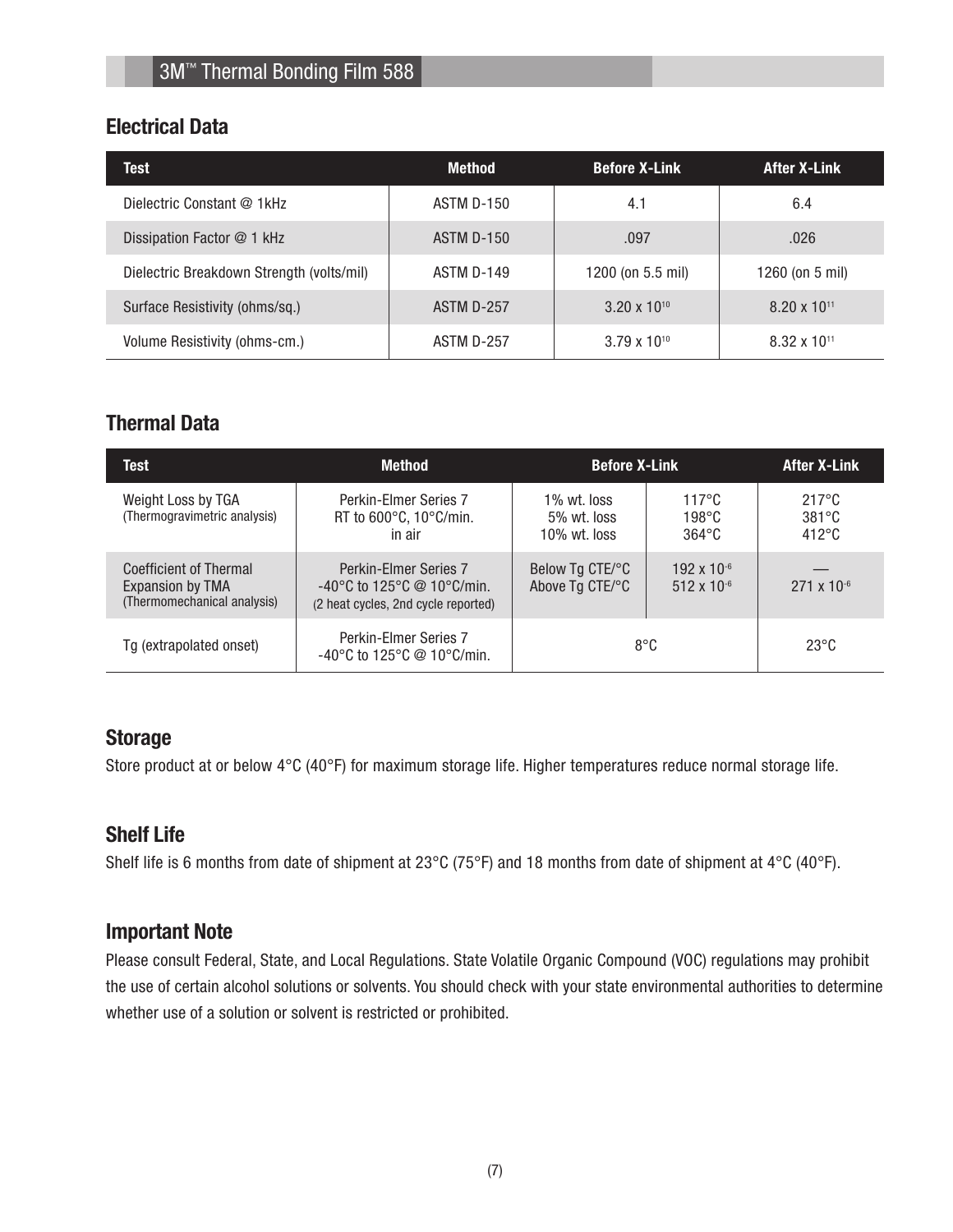# Electrical Data

| <b>Test</b>                               | <b>Method</b> | <b>Before X-Link</b>  | <b>After X-Link</b>   |
|-------------------------------------------|---------------|-----------------------|-----------------------|
| Dielectric Constant @ 1kHz                | ASTM D-150    | 4.1                   | 6.4                   |
| Dissipation Factor @ 1 kHz                | ASTM D-150    | .097                  | .026                  |
| Dielectric Breakdown Strength (volts/mil) | ASTM D-149    | 1200 (on 5.5 mil)     | 1260 (on 5 mil)       |
| Surface Resistivity (ohms/sq.)            | ASTM D-257    | $3.20 \times 10^{10}$ | $8.20 \times 10^{11}$ |
| Volume Resistivity (ohms-cm.)             | ASTM D-257    | $3.79 \times 10^{10}$ | $8.32 \times 10^{11}$ |

# Thermal Data

| <b>Test</b>                                                                      | <b>Method</b>                                                                                                              | <b>Before X-Link</b>                             |                                             | <b>After X-Link</b>                                   |
|----------------------------------------------------------------------------------|----------------------------------------------------------------------------------------------------------------------------|--------------------------------------------------|---------------------------------------------|-------------------------------------------------------|
| Weight Loss by TGA<br>(Thermogravimetric analysis)                               | Perkin-Elmer Series 7<br>RT to 600°C, 10°C/min.<br>in air                                                                  | $1\%$ wt. loss<br>5% wt. loss<br>$10\%$ wt. loss | 117°C<br>$198^{\circ}$ C<br>$364^{\circ}$ C | $217^{\circ}$ C<br>$381^{\circ}$ C<br>$412^{\circ}$ C |
| <b>Coefficient of Thermal</b><br>Expansion by TMA<br>(Thermomechanical analysis) | Perkin-Elmer Series 7<br>$-40^{\circ}$ C to 125 $^{\circ}$ C @ 10 $^{\circ}$ C/min.<br>(2 heat cycles, 2nd cycle reported) | Below Tg CTE/°C<br>Above Tg CTE/°C               | 192 x 10 $-6$<br>$512 \times 10^{-6}$       | $271 \times 10^{-6}$                                  |
| Tg (extrapolated onset)                                                          | Perkin-Elmer Series 7<br>-40 $\degree$ C to 125 $\degree$ C @ 10 $\degree$ C/min.                                          | $8^{\circ}$ C                                    |                                             | $23^{\circ}$ C                                        |

## Storage

Store product at or below 4°C (40°F) for maximum storage life. Higher temperatures reduce normal storage life.

# Shelf Life

Shelf life is 6 months from date of shipment at 23°C (75°F) and 18 months from date of shipment at 4°C (40°F).

# Important Note

Please consult Federal, State, and Local Regulations. State Volatile Organic Compound (VOC) regulations may prohibit the use of certain alcohol solutions or solvents. You should check with your state environmental authorities to determine whether use of a solution or solvent is restricted or prohibited.